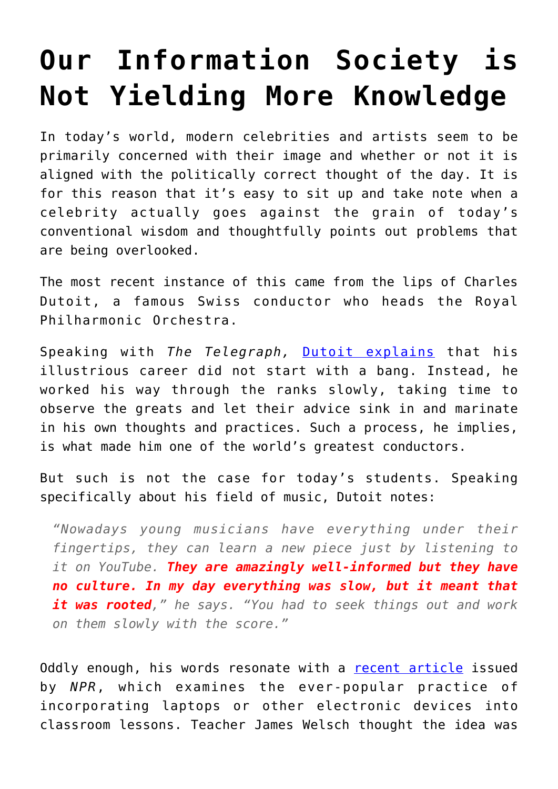## **[Our Information Society is](https://intellectualtakeout.org/2017/08/our-information-society-is-not-yielding-more-knowledge/) [Not Yielding More Knowledge](https://intellectualtakeout.org/2017/08/our-information-society-is-not-yielding-more-knowledge/)**

In today's world, modern celebrities and artists seem to be primarily concerned with their image and whether or not it is aligned with the politically correct thought of the day. It is for this reason that it's easy to sit up and take note when a celebrity actually goes against the grain of today's conventional wisdom and thoughtfully points out problems that are being overlooked.

The most recent instance of this came from the lips of Charles Dutoit, a famous Swiss conductor who heads the Royal Philharmonic Orchestra.

Speaking with *The Telegraph,* [Dutoit explains](http://www.telegraph.co.uk/music/classical-music/charles-dutoit-todays-young-musicians-have-no-culture/) that his illustrious career did not start with a bang. Instead, he worked his way through the ranks slowly, taking time to observe the greats and let their advice sink in and marinate in his own thoughts and practices. Such a process, he implies, is what made him one of the world's greatest conductors.

But such is not the case for today's students. Speaking specifically about his field of music, Dutoit notes:

*"Nowadays young musicians have everything under their fingertips, they can learn a new piece just by listening to it on YouTube. They are amazingly well-informed but they have no culture. In my day everything was slow, but it meant that it was rooted," he says. "You had to seek things out and work on them slowly with the score."*

Oddly enough, his words resonate with a [recent article](http://www.npr.org/sections/ed/2017/08/18/536875865/15-years-later-how-did-it-go-with-maines-school-laptop-program?utm_medium=RSS&utm_campaign=education) issued by *NPR*, which examines the ever-popular practice of incorporating laptops or other electronic devices into classroom lessons. Teacher James Welsch thought the idea was